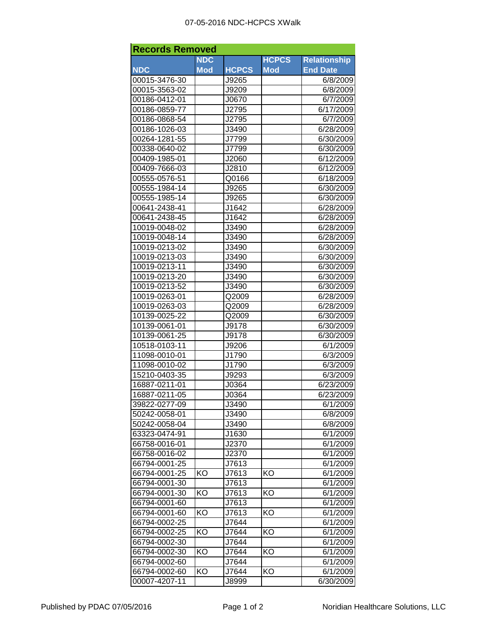| <b>Records Removed</b>         |            |              |              |                     |  |  |  |  |
|--------------------------------|------------|--------------|--------------|---------------------|--|--|--|--|
|                                | <b>NDC</b> |              | <b>HCPCS</b> | <b>Relationship</b> |  |  |  |  |
| <b>NDC</b>                     | <b>Mod</b> | <b>HCPCS</b> | <b>Mod</b>   | <b>End Date</b>     |  |  |  |  |
| 00015-3476-30                  |            | J9265        |              | 6/8/2009            |  |  |  |  |
| 00015-3563-02                  |            | J9209        |              | 6/8/2009            |  |  |  |  |
| 00186-0412-01                  |            | J0670        |              | 6/7/2009            |  |  |  |  |
| 00186-0859-77                  |            | J2795        |              | 6/17/2009           |  |  |  |  |
| 00186-0868-54                  |            | J2795        |              | 6/7/2009            |  |  |  |  |
| 00186-1026-03                  |            | J3490        |              | 6/28/2009           |  |  |  |  |
| 00264-1281-55                  |            | J7799        |              | 6/30/2009           |  |  |  |  |
| 00338-0640-02                  |            | J7799        |              | 6/30/2009           |  |  |  |  |
| 00409-1985-01                  |            | J2060        |              | 6/12/2009           |  |  |  |  |
| 00409-7666-03                  |            | J2810        |              | 6/12/2009           |  |  |  |  |
| 00555-0576-51                  |            | Q0166        |              | 6/18/2009           |  |  |  |  |
| 00555-1984-14                  |            | J9265        |              | 6/30/2009           |  |  |  |  |
| 00555-1985-14                  |            | J9265        |              | 6/30/2009           |  |  |  |  |
| 00641-2438-41                  |            | J1642        |              | 6/28/2009           |  |  |  |  |
| 00641-2438-45                  |            | J1642        |              | 6/28/2009           |  |  |  |  |
| 10019-0048-02                  |            | J3490        |              | 6/28/2009           |  |  |  |  |
| 10019-0048-14                  |            | J3490        |              | 6/28/2009           |  |  |  |  |
| 10019-0213-02                  |            | J3490        |              | 6/30/2009           |  |  |  |  |
| 10019-0213-03                  |            | J3490        |              | 6/30/2009           |  |  |  |  |
| 10019-0213-11                  |            | J3490        |              | 6/30/2009           |  |  |  |  |
| 10019-0213-20                  |            | J3490        |              | 6/30/2009           |  |  |  |  |
| 10019-0213-52                  |            | J3490        |              | 6/30/2009           |  |  |  |  |
| 10019-0263-01                  |            | Q2009        |              | 6/28/2009           |  |  |  |  |
| 10019-0263-03                  |            | Q2009        |              | 6/28/2009           |  |  |  |  |
| 10139-0025-22                  |            | Q2009        |              | 6/30/2009           |  |  |  |  |
| 10139-0061-01                  |            | J9178        |              | 6/30/2009           |  |  |  |  |
| 10139-0061-25                  |            | J9178        |              | 6/30/2009           |  |  |  |  |
| 10518-0103-11                  |            | J9206        |              | 6/1/2009            |  |  |  |  |
| 11098-0010-01                  |            | J1790        |              | 6/3/2009            |  |  |  |  |
| 11098-0010-02                  |            | J1790        |              | 6/3/2009            |  |  |  |  |
| 15210-0403-35                  |            | J9293        |              | 6/3/2009            |  |  |  |  |
| 16887-0211-01                  |            | J0364        |              | 6/23/2009           |  |  |  |  |
| 16887-0211-05                  |            | J0364        |              | 6/23/2009           |  |  |  |  |
|                                |            | J3490        |              |                     |  |  |  |  |
| 39822-0277-09                  |            |              |              | 6/1/2009            |  |  |  |  |
| 50242-0058-01<br>50242-0058-04 |            | J3490        |              | 6/8/2009            |  |  |  |  |
|                                |            | J3490        |              | 6/8/2009            |  |  |  |  |
| 63323-0474-91                  |            | J1630        |              | 6/1/2009            |  |  |  |  |
| 66758-0016-01                  |            | J2370        |              | 6/1/2009            |  |  |  |  |
| 66758-0016-02                  |            | J2370        |              | 6/1/2009            |  |  |  |  |
| 66794-0001-25                  |            | J7613        |              | 6/1/2009            |  |  |  |  |
| 66794-0001-25                  | KO         | J7613        | KO           | 6/1/2009            |  |  |  |  |
| 66794-0001-30                  |            | J7613        |              | 6/1/2009            |  |  |  |  |
| 66794-0001-30                  | KO         | J7613        | KO           | 6/1/2009            |  |  |  |  |
| 66794-0001-60                  |            | J7613        |              | 6/1/2009            |  |  |  |  |
| 66794-0001-60                  | KO         | J7613        | ΚO           | 6/1/2009            |  |  |  |  |
| 66794-0002-25                  |            | J7644        |              | 6/1/2009            |  |  |  |  |
| 66794-0002-25                  | KO         | J7644        | ΚO           | 6/1/2009            |  |  |  |  |
| 66794-0002-30                  |            | J7644        |              | 6/1/2009            |  |  |  |  |
| 66794-0002-30                  | ΚO         | J7644        | ΚO           | 6/1/2009            |  |  |  |  |
| 66794-0002-60                  |            | J7644        |              | 6/1/2009            |  |  |  |  |
| 66794-0002-60                  | KO         | J7644        | ΚO           | 6/1/2009            |  |  |  |  |
| 00007-4207-11                  |            | J8999        |              | 6/30/2009           |  |  |  |  |